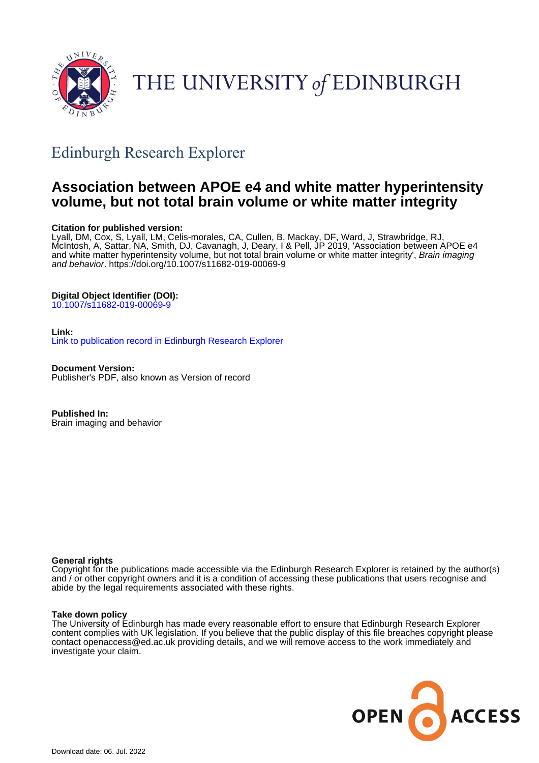

# THE UNIVERSITY of EDINBURGH

# Edinburgh Research Explorer

# **Association between APOE e4 and white matter hyperintensity volume, but not total brain volume or white matter integrity**

# **Citation for published version:**

Lyall, DM, Cox, S, Lyall, LM, Celis-morales, CA, Cullen, B, Mackay, DF, Ward, J, Strawbridge, RJ, McIntosh, A, Sattar, NA, Smith, DJ, Cavanagh, J, Deary, I & Pell, JP 2019, 'Association between APOE e4 and white matter hyperintensity volume, but not total brain volume or white matter integrity', *Brain imaging* and behavior.<https://doi.org/10.1007/s11682-019-00069-9>

# **Digital Object Identifier (DOI):**

[10.1007/s11682-019-00069-9](https://doi.org/10.1007/s11682-019-00069-9)

### **Link:**

[Link to publication record in Edinburgh Research Explorer](https://www.research.ed.ac.uk/en/publications/1183df8d-0313-463d-bca6-4a3af59648cb)

**Document Version:** Publisher's PDF, also known as Version of record

**Published In:** Brain imaging and behavior

### **General rights**

Copyright for the publications made accessible via the Edinburgh Research Explorer is retained by the author(s) and / or other copyright owners and it is a condition of accessing these publications that users recognise and abide by the legal requirements associated with these rights.

#### **Take down policy**

The University of Edinburgh has made every reasonable effort to ensure that Edinburgh Research Explorer content complies with UK legislation. If you believe that the public display of this file breaches copyright please contact openaccess@ed.ac.uk providing details, and we will remove access to the work immediately and investigate your claim.

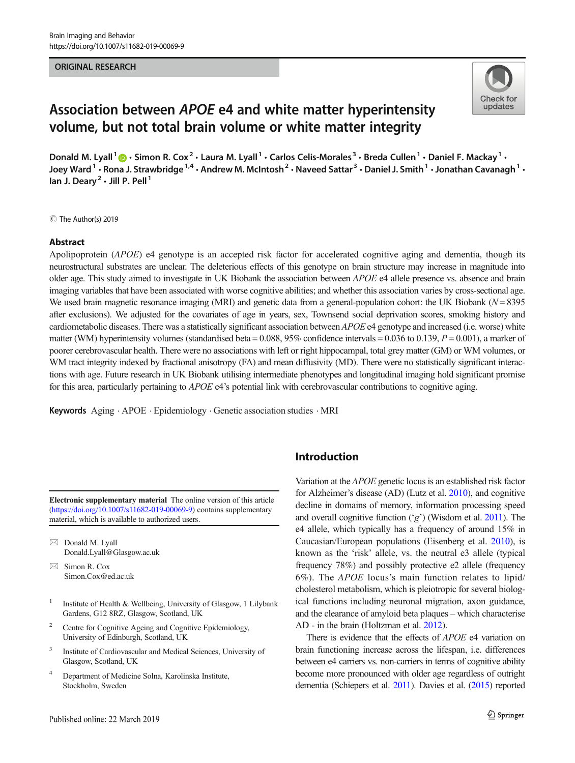#### ORIGINAL RESEARCH



# Association between APOE e4 and white matter hyperintensity volume, but not total brain volume or white matter integrity

Donald M. Lyall<sup>1</sup>  $\odot$  · Simon R. Cox<sup>2</sup> · Laura M. Lyall<sup>1</sup> · Carlos Celis-Morales<sup>3</sup> · Breda Cullen<sup>1</sup> · Daniel F. Mackay<sup>1</sup> · Joey Ward<sup>1</sup> • Rona J. Strawbridge<sup>1,4</sup> • Andrew M. McIntosh<sup>2</sup> • Naveed Sattar<sup>3</sup> • Daniel J. Smith<sup>1</sup> • Jonathan Cavanagh<sup>1</sup> • Ian J. Deary<sup>2</sup>  $\cdot$  Jill P. Pell<sup>1</sup>

C The Author(s) 2019

#### Abstract

Apolipoprotein (*APOE*) e4 genotype is an accepted risk factor for accelerated cognitive aging and dementia, though its neurostructural substrates are unclear. The deleterious effects of this genotype on brain structure may increase in magnitude into older age. This study aimed to investigate in UK Biobank the association between APOE e4 allele presence vs. absence and brain imaging variables that have been associated with worse cognitive abilities; and whether this association varies by cross-sectional age. We used brain magnetic resonance imaging (MRI) and genetic data from a general-population cohort: the UK Biobank ( $N = 8395$ ) after exclusions). We adjusted for the covariates of age in years, sex, Townsend social deprivation scores, smoking history and cardiometabolic diseases. There was a statistically significant association between APOE e4 genotype and increased (i.e. worse) white matter (WM) hyperintensity volumes (standardised beta =  $0.088$ ,  $95\%$  confidence intervals =  $0.036$  to  $0.139$ ,  $P = 0.001$ ), a marker of poorer cerebrovascular health. There were no associations with left or right hippocampal, total grey matter (GM) or WM volumes, or WM tract integrity indexed by fractional anisotropy (FA) and mean diffusivity (MD). There were no statistically significant interactions with age. Future research in UK Biobank utilising intermediate phenotypes and longitudinal imaging hold significant promise for this area, particularly pertaining to APOE e4's potential link with cerebrovascular contributions to cognitive aging.

Keywords Aging . APOE . Epidemiology . Genetic association studies . MRI

Electronic supplementary material The online version of this article (<https://doi.org/10.1007/s11682-019-00069-9>) contains supplementary material, which is available to authorized users.

- $\boxtimes$  Donald M. Lyall [Donald.Lyall@Glasgow.ac.uk](mailto:Donald.Lyall@Glasgow.ac.uk)
- $\boxtimes$  Simon R. Cox [Simon.Cox@ed.ac.uk](mailto:Simon.Cox@ed.ac.uk)
- <sup>1</sup> Institute of Health & Wellbeing, University of Glasgow, 1 Lilybank Gardens, G12 8RZ, Glasgow, Scotland, UK
- <sup>2</sup> Centre for Cognitive Ageing and Cognitive Epidemiology, University of Edinburgh, Scotland, UK
- <sup>3</sup> Institute of Cardiovascular and Medical Sciences, University of Glasgow, Scotland, UK
- <sup>4</sup> Department of Medicine Solna, Karolinska Institute, Stockholm, Sweden

# Introduction

Variation at the APOE genetic locus is an established risk factor for Alzheimer's disease (AD) (Lutz et al. [2010](#page-8-0)), and cognitive decline in domains of memory, information processing speed and overall cognitive function  $({\cal C}g)$  (Wisdom et al. [2011](#page-9-0)). The e4 allele, which typically has a frequency of around 15% in Caucasian/European populations (Eisenberg et al. [2010](#page-8-0)), is known as the 'risk' allele, vs. the neutral e3 allele (typical frequency 78%) and possibly protective e2 allele (frequency 6%). The APOE locus's main function relates to lipid/ cholesterol metabolism, which is pleiotropic for several biological functions including neuronal migration, axon guidance, and the clearance of amyloid beta plaques – which characterise AD - in the brain (Holtzman et al. [2012](#page-8-0)).

There is evidence that the effects of APOE e4 variation on brain functioning increase across the lifespan, i.e. differences between e4 carriers vs. non-carriers in terms of cognitive ability become more pronounced with older age regardless of outright dementia (Schiepers et al. [2011\)](#page-9-0). Davies et al. [\(2015](#page-8-0)) reported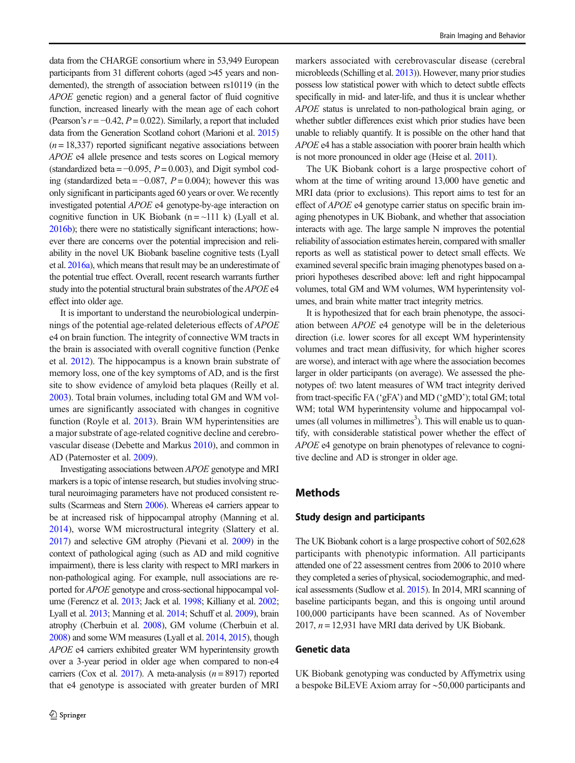data from the CHARGE consortium where in 53,949 European participants from 31 different cohorts (aged >45 years and nondemented), the strength of association between rs10119 (in the APOE genetic region) and a general factor of fluid cognitive function, increased linearly with the mean age of each cohort (Pearson's  $r = -0.42$ ,  $P = 0.022$ ). Similarly, a report that included data from the Generation Scotland cohort (Marioni et al. [2015\)](#page-9-0)  $(n = 18,337)$  reported significant negative associations between APOE e4 allele presence and tests scores on Logical memory (standardized beta =  $-0.095$ ,  $P = 0.003$ ), and Digit symbol coding (standardized beta =  $-0.087$ ,  $P = 0.004$ ); however this was only significant in participants aged 60 years or over. We recently investigated potential APOE e4 genotype-by-age interaction on cognitive function in UK Biobank (n =  $\sim$ 111 k) (Lyall et al. [2016b](#page-9-0)); there were no statistically significant interactions; however there are concerns over the potential imprecision and reliability in the novel UK Biobank baseline cognitive tests (Lyall et al. [2016a\)](#page-8-0), which means that result may be an underestimate of the potential true effect. Overall, recent research warrants further study into the potential structural brain substrates of the APOE e4 effect into older age.

It is important to understand the neurobiological underpinnings of the potential age-related deleterious effects of APOE e4 on brain function. The integrity of connective WM tracts in the brain is associated with overall cognitive function (Penke et al. [2012\)](#page-9-0). The hippocampus is a known brain substrate of memory loss, one of the key symptoms of AD, and is the first site to show evidence of amyloid beta plaques (Reilly et al. [2003\)](#page-9-0). Total brain volumes, including total GM and WM volumes are significantly associated with changes in cognitive function (Royle et al. [2013](#page-9-0)). Brain WM hyperintensities are a major substrate of age-related cognitive decline and cerebrovascular disease (Debette and Markus [2010](#page-8-0)), and common in AD (Paternoster et al. [2009\)](#page-9-0).

Investigating associations between APOE genotype and MRI markers is a topic of intense research, but studies involving structural neuroimaging parameters have not produced consistent re-sults (Scarmeas and Stern [2006](#page-9-0)). Whereas e4 carriers appear to be at increased risk of hippocampal atrophy (Manning et al. [2014\)](#page-9-0), worse WM microstructural integrity (Slattery et al. [2017](#page-9-0)) and selective GM atrophy (Pievani et al. [2009\)](#page-9-0) in the context of pathological aging (such as AD and mild cognitive impairment), there is less clarity with respect to MRI markers in non-pathological aging. For example, null associations are reported for APOE genotype and cross-sectional hippocampal volume (Ferencz et al. [2013;](#page-8-0) Jack et al. [1998;](#page-8-0) Killiany et al. [2002](#page-8-0); Lyall et al. [2013](#page-8-0); Manning et al. [2014;](#page-9-0) Schuff et al. [2009](#page-9-0)), brain atrophy (Cherbuin et al. [2008](#page-7-0)), GM volume (Cherbuin et al. [2008\)](#page-7-0) and some WM measures (Lyall et al. [2014](#page-8-0), [2015\)](#page-8-0), though APOE e4 carriers exhibited greater WM hyperintensity growth over a 3-year period in older age when compared to non-e4 carriers (Cox et al. [2017](#page-8-0)). A meta-analysis  $(n = 8917)$  reported that e4 genotype is associated with greater burden of MRI

markers associated with cerebrovascular disease (cerebral microbleeds (Schilling et al. [2013](#page-9-0))). However, many prior studies possess low statistical power with which to detect subtle effects specifically in mid- and later-life, and thus it is unclear whether APOE status is unrelated to non-pathological brain aging, or whether subtler differences exist which prior studies have been unable to reliably quantify. It is possible on the other hand that APOE e4 has a stable association with poorer brain health which is not more pronounced in older age (Heise et al. [2011\)](#page-8-0).

The UK Biobank cohort is a large prospective cohort of whom at the time of writing around 13,000 have genetic and MRI data (prior to exclusions). This report aims to test for an effect of APOE e4 genotype carrier status on specific brain imaging phenotypes in UK Biobank, and whether that association interacts with age. The large sample N improves the potential reliability of association estimates herein, compared with smaller reports as well as statistical power to detect small effects. We examined several specific brain imaging phenotypes based on apriori hypotheses described above: left and right hippocampal volumes, total GM and WM volumes, WM hyperintensity volumes, and brain white matter tract integrity metrics.

It is hypothesized that for each brain phenotype, the association between APOE e4 genotype will be in the deleterious direction (i.e. lower scores for all except WM hyperintensity volumes and tract mean diffusivity, for which higher scores are worse), and interact with age where the association becomes larger in older participants (on average). We assessed the phenotypes of: two latent measures of WM tract integrity derived from tract-specific FA ('gFA') and MD ('gMD'); total GM; total WM; total WM hyperintensity volume and hippocampal vol $u$ mes (all volumes in millimetres<sup>3</sup>). This will enable us to quantify, with considerable statistical power whether the effect of APOE e4 genotype on brain phenotypes of relevance to cognitive decline and AD is stronger in older age.

#### Methods

#### Study design and participants

The UK Biobank cohort is a large prospective cohort of 502,628 participants with phenotypic information. All participants attended one of 22 assessment centres from 2006 to 2010 where they completed a series of physical, sociodemographic, and medical assessments (Sudlow et al. [2015](#page-9-0)). In 2014, MRI scanning of baseline participants began, and this is ongoing until around 100,000 participants have been scanned. As of November 2017,  $n = 12,931$  have MRI data derived by UK Biobank.

#### Genetic data

UK Biobank genotyping was conducted by Affymetrix using a bespoke BiLEVE Axiom array for ∼50,000 participants and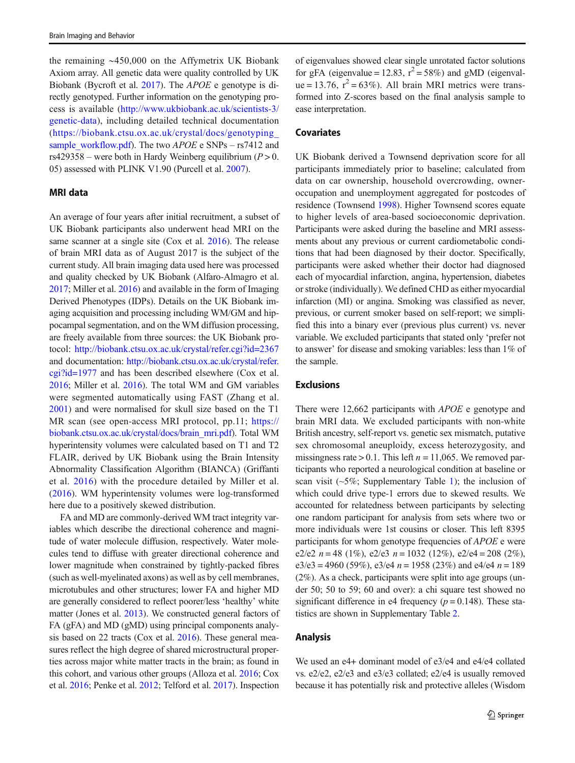the remaining ∼450,000 on the Affymetrix UK Biobank Axiom array. All genetic data were quality controlled by UK Biobank (Bycroft et al. [2017](#page-7-0)). The APOE e genotype is directly genotyped. Further information on the genotyping process is available ([http://www.ukbiobank.ac.uk/scientists-3/](http://www.ukbiobank.ac.uk/scientists-3/genetic-data) [genetic-data](http://www.ukbiobank.ac.uk/scientists-3/genetic-data)), including detailed technical documentation ([https://biobank.ctsu.ox.ac.uk/crystal/docs/genotyping\\_](https://biobank.ctsu.ox.ac.uk/crystal/docs/genotyping_sample_workflow.pdf) [sample\\_workflow.pdf\)](https://biobank.ctsu.ox.ac.uk/crystal/docs/genotyping_sample_workflow.pdf). The two APOE e SNPs – rs7412 and rs429358 – were both in Hardy Weinberg equilibrium ( $P > 0$ . 05) assessed with PLINK V1.90 (Purcell et al. [2007](#page-9-0)).

#### MRI data

An average of four years after initial recruitment, a subset of UK Biobank participants also underwent head MRI on the same scanner at a single site (Cox et al. [2016\)](#page-8-0). The release of brain MRI data as of August 2017 is the subject of the current study. All brain imaging data used here was processed and quality checked by UK Biobank (Alfaro-Almagro et al. [2017;](#page-7-0) Miller et al. [2016](#page-9-0)) and available in the form of Imaging Derived Phenotypes (IDPs). Details on the UK Biobank imaging acquisition and processing including WM/GM and hippocampal segmentation, and on the WM diffusion processing, are freely available from three sources: the UK Biobank protocol: <http://biobank.ctsu.ox.ac.uk/crystal/refer.cgi?id=2367> and documentation: [http://biobank.ctsu.ox.ac.uk/crystal/refer.](http://biobank.ctsu.ox.ac.uk/crystal/refer.cgi?id=1977) [cgi?id=1977](http://biobank.ctsu.ox.ac.uk/crystal/refer.cgi?id=1977) and has been described elsewhere (Cox et al. [2016;](#page-8-0) Miller et al. [2016](#page-9-0)). The total WM and GM variables were segmented automatically using FAST (Zhang et al. [2001\)](#page-9-0) and were normalised for skull size based on the T1 MR scan (see open-access MRI protocol, pp.11; [https://](https://biobank.ctsu.ox.ac.uk/crystal/docs/brain_mri.pdf) [biobank.ctsu.ox.ac.uk/crystal/docs/brain\\_mri.pdf\)](https://biobank.ctsu.ox.ac.uk/crystal/docs/brain_mri.pdf). Total WM hyperintensity volumes were calculated based on T1 and T2 FLAIR, derived by UK Biobank using the Brain Intensity Abnormality Classification Algorithm (BIANCA) (Griffanti et al. [2016\)](#page-8-0) with the procedure detailed by Miller et al. [\(2016](#page-9-0)). WM hyperintensity volumes were log-transformed here due to a positively skewed distribution.

FA and MD are commonly-derived WM tract integrity variables which describe the directional coherence and magnitude of water molecule diffusion, respectively. Water molecules tend to diffuse with greater directional coherence and lower magnitude when constrained by tightly-packed fibres (such as well-myelinated axons) as well as by cell membranes, microtubules and other structures; lower FA and higher MD are generally considered to reflect poorer/less 'healthy' white matter (Jones et al. [2013](#page-8-0)). We constructed general factors of FA (gFA) and MD (gMD) using principal components analy-sis based on 22 tracts (Cox et al. [2016](#page-8-0)). These general measures reflect the high degree of shared microstructural properties across major white matter tracts in the brain; as found in this cohort, and various other groups (Alloza et al. [2016;](#page-7-0) Cox et al. [2016;](#page-8-0) Penke et al. [2012](#page-9-0); Telford et al. [2017\)](#page-9-0). Inspection

of eigenvalues showed clear single unrotated factor solutions for gFA (eigenvalue = 12.83,  $r^2 = 58\%$ ) and gMD (eigenvalue = 13.76,  $r^2 = 63\%$ ). All brain MRI metrics were transformed into Z-scores based on the final analysis sample to ease interpretation.

#### **Covariates**

UK Biobank derived a Townsend deprivation score for all participants immediately prior to baseline; calculated from data on car ownership, household overcrowding, owneroccupation and unemployment aggregated for postcodes of residence (Townsend [1998\)](#page-9-0). Higher Townsend scores equate to higher levels of area-based socioeconomic deprivation. Participants were asked during the baseline and MRI assessments about any previous or current cardiometabolic conditions that had been diagnosed by their doctor. Specifically, participants were asked whether their doctor had diagnosed each of myocardial infarction, angina, hypertension, diabetes or stroke (individually). We defined CHD as either myocardial infarction (MI) or angina. Smoking was classified as never, previous, or current smoker based on self-report; we simplified this into a binary ever (previous plus current) vs. never variable. We excluded participants that stated only 'prefer not to answer' for disease and smoking variables: less than 1% of the sample.

#### **Exclusions**

There were 12,662 participants with APOE e genotype and brain MRI data. We excluded participants with non-white British ancestry, self-report vs. genetic sex mismatch, putative sex chromosomal aneuploidy, excess heterozygosity, and missingness rate  $> 0.1$ . This left  $n = 11,065$ . We removed participants who reported a neurological condition at baseline or scan visit  $(-5\%)$ ; Supplementary Table 1); the inclusion of which could drive type-1 errors due to skewed results. We accounted for relatedness between participants by selecting one random participant for analysis from sets where two or more individuals were 1st cousins or closer. This left 8395 participants for whom genotype frequencies of APOE e were e2/e2  $n = 48$  (1%), e2/e3  $n = 1032$  (12%), e2/e4 = 208 (2%), e3/e3 = 4960 (59%), e3/e4  $n = 1958$  (23%) and e4/e4  $n = 189$ (2%). As a check, participants were split into age groups (under 50; 50 to 59; 60 and over): a chi square test showed no significant difference in e4 frequency ( $p = 0.148$ ). These statistics are shown in Supplementary Table 2.

#### Analysis

We used an e4+ dominant model of e3/e4 and e4/e4 collated vs. e2/e2, e2/e3 and e3/e3 collated; e2/e4 is usually removed because it has potentially risk and protective alleles (Wisdom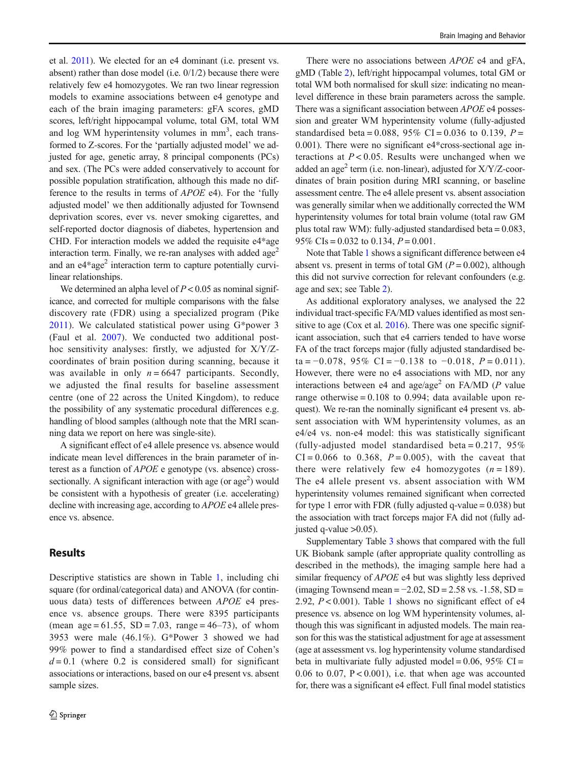et al. [2011](#page-9-0)). We elected for an e4 dominant (i.e. present vs. absent) rather than dose model (i.e. 0/1/2) because there were relatively few e4 homozygotes. We ran two linear regression models to examine associations between e4 genotype and each of the brain imaging parameters: gFA scores, gMD scores, left/right hippocampal volume, total GM, total WM and log WM hyperintensity volumes in  $mm<sup>3</sup>$ , each transformed to Z-scores. For the 'partially adjusted model' we adjusted for age, genetic array, 8 principal components (PCs) and sex. (The PCs were added conservatively to account for possible population stratification, although this made no difference to the results in terms of APOE e4). For the 'fully adjusted model' we then additionally adjusted for Townsend deprivation scores, ever vs. never smoking cigarettes, and self-reported doctor diagnosis of diabetes, hypertension and CHD. For interaction models we added the requisite e4\*age interaction term. Finally, we re-ran analyses with added age<sup>2</sup> and an  $e^{4*}$ age<sup>2</sup> interaction term to capture potentially curvilinear relationships.

We determined an alpha level of  $P < 0.05$  as nominal significance, and corrected for multiple comparisons with the false discovery rate (FDR) using a specialized program (Pike [2011](#page-9-0)). We calculated statistical power using G\*power 3 (Faul et al. [2007\)](#page-8-0). We conducted two additional posthoc sensitivity analyses: firstly, we adjusted for X/Y/Zcoordinates of brain position during scanning, because it was available in only  $n = 6647$  participants. Secondly, we adjusted the final results for baseline assessment centre (one of 22 across the United Kingdom), to reduce the possibility of any systematic procedural differences e.g. handling of blood samples (although note that the MRI scanning data we report on here was single-site).

A significant effect of e4 allele presence vs. absence would indicate mean level differences in the brain parameter of interest as a function of APOE e genotype (vs. absence) crosssectionally. A significant interaction with age (or  $age<sup>2</sup>$ ) would be consistent with a hypothesis of greater (i.e. accelerating) decline with increasing age, according to APOE e4 allele presence vs. absence.

## Results

Descriptive statistics are shown in Table [1,](#page-5-0) including chi square (for ordinal/categorical data) and ANOVA (for continuous data) tests of differences between APOE e4 presence vs. absence groups. There were 8395 participants (mean  $age = 61.55$ , SD = 7.03, range = 46–73), of whom 3953 were male (46.1%). G\*Power 3 showed we had 99% power to find a standardised effect size of Cohen's  $d = 0.1$  (where 0.2 is considered small) for significant associations or interactions, based on our e4 present vs. absent sample sizes.

There were no associations between *APOE* e4 and gFA, gMD (Table [2\)](#page-5-0), left/right hippocampal volumes, total GM or total WM both normalised for skull size: indicating no meanlevel difference in these brain parameters across the sample. There was a significant association between APOE e4 possession and greater WM hyperintensity volume (fully-adjusted standardised beta = 0.088, 95% CI = 0.036 to 0.139,  $P =$ 0.001). There were no significant e4\*cross-sectional age interactions at  $P < 0.05$ . Results were unchanged when we added an age<sup>2</sup> term (i.e. non-linear), adjusted for  $X/Y/Z$ -coordinates of brain position during MRI scanning, or baseline assessment centre. The e4 allele present vs. absent association was generally similar when we additionally corrected the WM hyperintensity volumes for total brain volume (total raw GM plus total raw WM): fully-adjusted standardised beta = 0.083, 95% CIs =  $0.032$  to 0.134,  $P = 0.001$ .

Note that Table [1](#page-5-0) shows a significant difference between e4 absent vs. present in terms of total GM ( $P = 0.002$ ), although this did not survive correction for relevant confounders (e.g. age and sex; see Table [2](#page-5-0)).

As additional exploratory analyses, we analysed the 22 individual tract-specific FA/MD values identified as most sen-sitive to age (Cox et al. [2016\)](#page-8-0). There was one specific significant association, such that e4 carriers tended to have worse FA of the tract forceps major (fully adjusted standardised beta =  $-0.078$ , 95% CI =  $-0.138$  to  $-0.018$ ,  $P = 0.011$ ). However, there were no e4 associations with MD, nor any interactions between e4 and age/age<sup>2</sup> on FA/MD ( $P$  value range otherwise  $= 0.108$  to 0.994; data available upon request). We re-ran the nominally significant e4 present vs. absent association with WM hyperintensity volumes, as an e4/e4 vs. non-e4 model: this was statistically significant (fully-adjusted model standardised beta =  $0.217$ ,  $95\%$  $CI = 0.066$  to 0.368,  $P = 0.005$ ), with the caveat that there were relatively few e4 homozygotes  $(n = 189)$ . The e4 allele present vs. absent association with WM hyperintensity volumes remained significant when corrected for type 1 error with FDR (fully adjusted q-value  $= 0.038$ ) but the association with tract forceps major FA did not (fully adjusted q-value  $>0.05$ ).

Supplementary Table 3 shows that compared with the full UK Biobank sample (after appropriate quality controlling as described in the methods), the imaging sample here had a similar frequency of *APOE* e4 but was slightly less deprived (imaging Townsend mean =  $-2.02$ , SD =  $2.58$  vs.  $-1.58$ , SD = 2.92,  $P < 0.001$  $P < 0.001$ ). Table 1 shows no significant effect of e4 presence vs. absence on log WM hyperintensity volumes, although this was significant in adjusted models. The main reason for this was the statistical adjustment for age at assessment (age at assessment vs. log hyperintensity volume standardised beta in multivariate fully adjusted model =  $0.06$ ,  $95\%$  CI = 0.06 to 0.07,  $P < 0.001$ ), i.e. that when age was accounted for, there was a significant e4 effect. Full final model statistics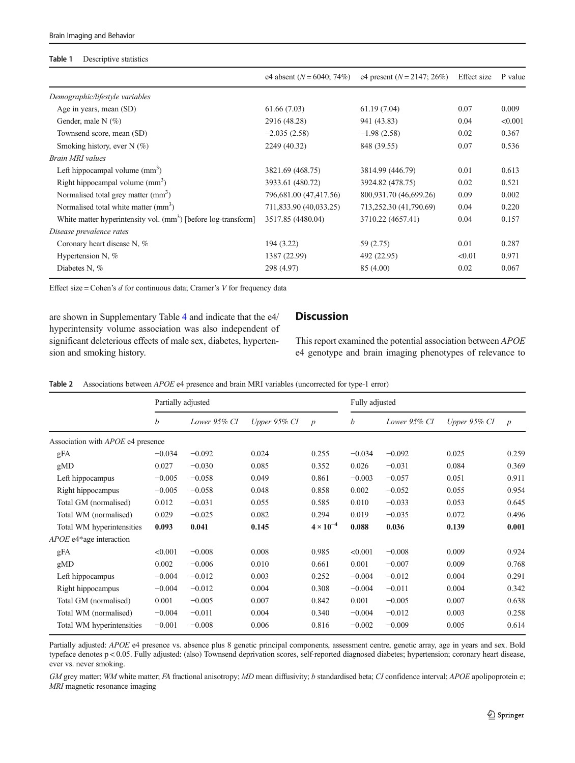#### <span id="page-5-0"></span>Table 1 Descriptive statistics

|                                                                            | e4 absent $(N = 6040; 74\%)$ | e4 present $(N = 2147; 26\%)$ | Effect size | P value |
|----------------------------------------------------------------------------|------------------------------|-------------------------------|-------------|---------|
| Demographic/lifestyle variables                                            |                              |                               |             |         |
| Age in years, mean (SD)                                                    | 61.66(7.03)                  | 61.19(7.04)                   | 0.07        | 0.009   |
| Gender, male $N(\%)$                                                       | 2916 (48.28)                 | 941 (43.83)                   | 0.04        | < 0.001 |
| Townsend score, mean (SD)                                                  | $-2.035(2.58)$               | $-1.98(2.58)$                 | 0.02        | 0.367   |
| Smoking history, ever $N(\%)$                                              | 2249 (40.32)                 | 848 (39.55)                   | 0.07        | 0.536   |
| <b>Brain MRI</b> values                                                    |                              |                               |             |         |
| Left hippocampal volume $(mm^3)$                                           | 3821.69 (468.75)             | 3814.99 (446.79)              | 0.01        | 0.613   |
| Right hippocampal volume $(mm3)$                                           | 3933.61 (480.72)             | 3924.82 (478.75)              | 0.02        | 0.521   |
| Normalised total grey matter (mm <sup>3</sup> )                            | 796,681.00 (47,417.56)       | 800,931.70 (46,699.26)        | 0.09        | 0.002   |
| Normalised total white matter (mm <sup>3</sup> )                           | 711,833.90 (40,033.25)       | 713,252.30 (41,790.69)        | 0.04        | 0.220   |
| White matter hyperintensity vol. (mm <sup>3</sup> ) [before log-transform] | 3517.85 (4480.04)            | 3710.22 (4657.41)             | 0.04        | 0.157   |
| Disease prevalence rates                                                   |                              |                               |             |         |
| Coronary heart disease N, %                                                | 194 (3.22)                   | 59 (2.75)                     | 0.01        | 0.287   |
| Hypertension N, %                                                          | 1387 (22.99)                 | 492 (22.95)                   | < 0.01      | 0.971   |
| Diabetes N, %                                                              | 298 (4.97)                   | 85 (4.00)                     | 0.02        | 0.067   |

Effect size = Cohen's  $d$  for continuous data; Cramer's  $V$  for frequency data

are shown in Supplementary Table 4 and indicate that the e4/ hyperintensity volume association was also independent of significant deleterious effects of male sex, diabetes, hypertension and smoking history.

# **Discussion**

This report examined the potential association between APOE e4 genotype and brain imaging phenotypes of relevance to

|  | Table 2 Associations between APOE e4 presence and brain MRI variables (uncorrected for type-1 error) |  |  |  |  |  |  |
|--|------------------------------------------------------------------------------------------------------|--|--|--|--|--|--|
|--|------------------------------------------------------------------------------------------------------|--|--|--|--|--|--|

|                                          | Partially adjusted |              |              | Fully adjusted     |                  |              |                 |                |
|------------------------------------------|--------------------|--------------|--------------|--------------------|------------------|--------------|-----------------|----------------|
|                                          | b                  | Lower 95% CI | Upper 95% CI | $\boldsymbol{p}$   | $\boldsymbol{b}$ | Lower 95% CI | Upper $95\%$ CI | $\overline{p}$ |
| Association with <i>APOE</i> e4 presence |                    |              |              |                    |                  |              |                 |                |
| gFA                                      | $-0.034$           | $-0.092$     | 0.024        | 0.255              | $-0.034$         | $-0.092$     | 0.025           | 0.259          |
| gMD                                      | 0.027              | $-0.030$     | 0.085        | 0.352              | 0.026            | $-0.031$     | 0.084           | 0.369          |
| Left hippocampus                         | $-0.005$           | $-0.058$     | 0.049        | 0.861              | $-0.003$         | $-0.057$     | 0.051           | 0.911          |
| Right hippocampus                        | $-0.005$           | $-0.058$     | 0.048        | 0.858              | 0.002            | $-0.052$     | 0.055           | 0.954          |
| Total GM (normalised)                    | 0.012              | $-0.031$     | 0.055        | 0.585              | 0.010            | $-0.033$     | 0.053           | 0.645          |
| Total WM (normalised)                    | 0.029              | $-0.025$     | 0.082        | 0.294              | 0.019            | $-0.035$     | 0.072           | 0.496          |
| Total WM hyperintensities                | 0.093              | 0.041        | 0.145        | $4 \times 10^{-4}$ | 0.088            | 0.036        | 0.139           | 0.001          |
| APOE e4*age interaction                  |                    |              |              |                    |                  |              |                 |                |
| gFA                                      | < 0.001            | $-0.008$     | 0.008        | 0.985              | < 0.001          | $-0.008$     | 0.009           | 0.924          |
| gMD                                      | 0.002              | $-0.006$     | 0.010        | 0.661              | 0.001            | $-0.007$     | 0.009           | 0.768          |
| Left hippocampus                         | $-0.004$           | $-0.012$     | 0.003        | 0.252              | $-0.004$         | $-0.012$     | 0.004           | 0.291          |
| Right hippocampus                        | $-0.004$           | $-0.012$     | 0.004        | 0.308              | $-0.004$         | $-0.011$     | 0.004           | 0.342          |
| Total GM (normalised)                    | 0.001              | $-0.005$     | 0.007        | 0.842              | 0.001            | $-0.005$     | 0.007           | 0.638          |
| Total WM (normalised)                    | $-0.004$           | $-0.011$     | 0.004        | 0.340              | $-0.004$         | $-0.012$     | 0.003           | 0.258          |
| Total WM hyperintensities                | $-0.001$           | $-0.008$     | 0.006        | 0.816              | $-0.002$         | $-0.009$     | 0.005           | 0.614          |

Partially adjusted: APOE e4 presence vs. absence plus 8 genetic principal components, assessment centre, genetic array, age in years and sex. Bold typeface denotes p < 0.05. Fully adjusted: (also) Townsend deprivation scores, self-reported diagnosed diabetes; hypertension; coronary heart disease, ever vs. never smoking.

GM grey matter; WM white matter; FA fractional anisotropy; MD mean diffusivity; b standardised beta; CI confidence interval; APOE apolipoprotein e; MRI magnetic resonance imaging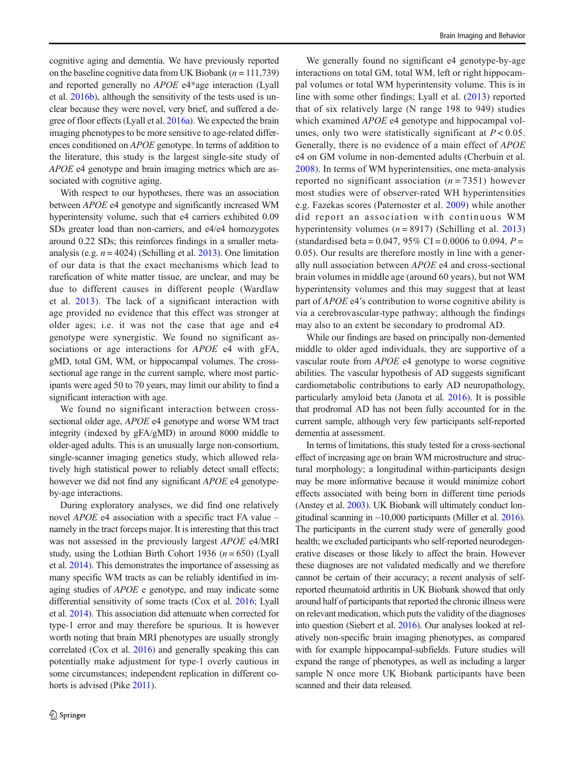cognitive aging and dementia. We have previously reported on the baseline cognitive data from UK Biobank ( $n = 111,739$ ) and reported generally no APOE e4\*age interaction (Lyall et al. [2016b\)](#page-9-0), although the sensitivity of the tests used is unclear because they were novel, very brief, and suffered a degree of floor effects (Lyall et al. [2016a\)](#page-8-0). We expected the brain imaging phenotypes to be more sensitive to age-related differences conditioned on APOE genotype. In terms of addition to the literature, this study is the largest single-site study of APOE e4 genotype and brain imaging metrics which are associated with cognitive aging.

With respect to our hypotheses, there was an association between APOE e4 genotype and significantly increased WM hyperintensity volume, such that e4 carriers exhibited 0.09 SDs greater load than non-carriers, and e4/e4 homozygotes around 0.22 SDs; this reinforces findings in a smaller metaanalysis (e.g.  $n = 4024$ ) (Schilling et al. [2013\)](#page-9-0). One limitation of our data is that the exact mechanisms which lead to rarefication of white matter tissue, are unclear, and may be due to different causes in different people (Wardlaw et al. [2013\)](#page-9-0). The lack of a significant interaction with age provided no evidence that this effect was stronger at older ages; i.e. it was not the case that age and e4 genotype were synergistic. We found no significant associations or age interactions for *APOE* e4 with gFA, gMD, total GM, WM, or hippocampal volumes. The crosssectional age range in the current sample, where most participants were aged 50 to 70 years, may limit our ability to find a significant interaction with age.

We found no significant interaction between crosssectional older age, APOE e4 genotype and worse WM tract integrity (indexed by gFA/gMD) in around 8000 middle to older-aged adults. This is an unusually large non-consortium, single-scanner imaging genetics study, which allowed relatively high statistical power to reliably detect small effects; however we did not find any significant APOE e4 genotypeby-age interactions.

During exploratory analyses, we did find one relatively novel APOE e4 association with a specific tract FA value – namely in the tract forceps major. It is interesting that this tract was not assessed in the previously largest APOE e4/MRI study, using the Lothian Birth Cohort 1936 ( $n = 650$ ) (Lyall et al. [2014\)](#page-8-0). This demonstrates the importance of assessing as many specific WM tracts as can be reliably identified in imaging studies of APOE e genotype, and may indicate some differential sensitivity of some tracts (Cox et al. [2016](#page-8-0); Lyall et al. [2014\)](#page-8-0). This association did attenuate when corrected for type-1 error and may therefore be spurious. It is however worth noting that brain MRI phenotypes are usually strongly correlated (Cox et al. [2016\)](#page-8-0) and generally speaking this can potentially make adjustment for type-1 overly cautious in some circumstances; independent replication in different cohorts is advised (Pike [2011\)](#page-9-0).

We generally found no significant e4 genotype-by-age interactions on total GM, total WM, left or right hippocampal volumes or total WM hyperintensity volume. This is in line with some other findings; Lyall et al. ([2013](#page-8-0)) reported that of six relatively large (N range 198 to 949) studies which examined *APOE* e4 genotype and hippocampal volumes, only two were statistically significant at  $P < 0.05$ . Generally, there is no evidence of a main effect of APOE e4 on GM volume in non-demented adults (Cherbuin et al. [2008](#page-7-0)). In terms of WM hyperintensities, one meta-analysis reported no significant association  $(n = 7351)$  however most studies were of observer-rated WH hyperintensities e.g. Fazekas scores (Paternoster et al. [2009](#page-9-0)) while another did report an association with continuous WM hyperintensity volumes ( $n = 8917$ ) (Schilling et al. [2013](#page-9-0)) (standardised beta = 0.047, 95% CI = 0.0006 to 0.094,  $P =$ 0.05). Our results are therefore mostly in line with a generally null association between APOE e4 and cross-sectional brain volumes in middle age (around 60 years), but not WM hyperintensity volumes and this may suggest that at least part of APOE e4's contribution to worse cognitive ability is via a cerebrovascular-type pathway; although the findings may also to an extent be secondary to prodromal AD.

While our findings are based on principally non-demented middle to older aged individuals, they are supportive of a vascular route from APOE e4 genotype to worse cognitive abilities. The vascular hypothesis of AD suggests significant cardiometabolic contributions to early AD neuropathology, particularly amyloid beta (Janota et al. [2016\)](#page-8-0). It is possible that prodromal AD has not been fully accounted for in the current sample, although very few participants self-reported dementia at assessment.

In terms of limitations, this study tested for a cross-sectional effect of increasing age on brain WM microstructure and structural morphology; a longitudinal within-participants design may be more informative because it would minimize cohort effects associated with being born in different time periods (Anstey et al. [2003\)](#page-7-0). UK Biobank will ultimately conduct longitudinal scanning in  $\sim$ 10,000 participants (Miller et al. [2016\)](#page-9-0). The participants in the current study were of generally good health; we excluded participants who self-reported neurodegenerative diseases or those likely to affect the brain. However these diagnoses are not validated medically and we therefore cannot be certain of their accuracy; a recent analysis of selfreported rheumatoid arthritis in UK Biobank showed that only around half of participants that reported the chronic illness were on relevant medication, which puts the validity of the diagnoses into question (Siebert et al. [2016\)](#page-9-0). Our analyses looked at relatively non-specific brain imaging phenotypes, as compared with for example hippocampal-subfields. Future studies will expand the range of phenotypes, as well as including a larger sample N once more UK Biobank participants have been scanned and their data released.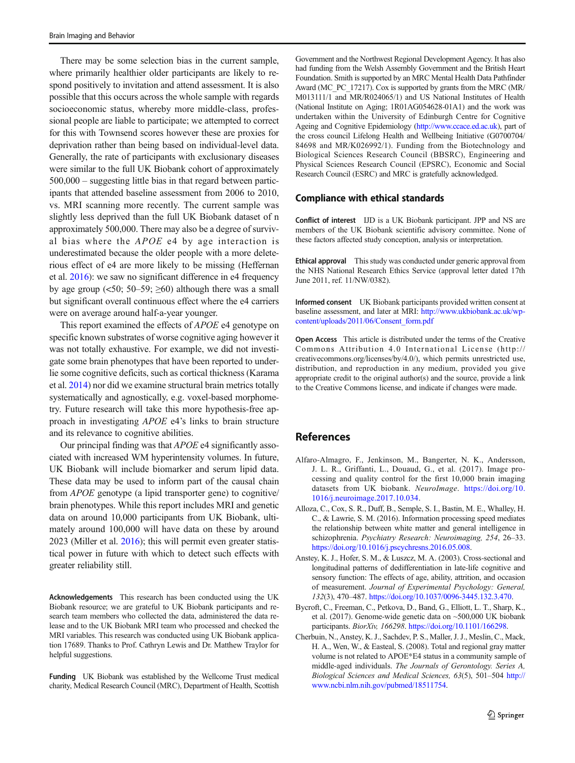<span id="page-7-0"></span>There may be some selection bias in the current sample, where primarily healthier older participants are likely to respond positively to invitation and attend assessment. It is also possible that this occurs across the whole sample with regards socioeconomic status, whereby more middle-class, professional people are liable to participate; we attempted to correct for this with Townsend scores however these are proxies for deprivation rather than being based on individual-level data. Generally, the rate of participants with exclusionary diseases were similar to the full UK Biobank cohort of approximately 500,000 – suggesting little bias in that regard between participants that attended baseline assessment from 2006 to 2010, vs. MRI scanning more recently. The current sample was slightly less deprived than the full UK Biobank dataset of n approximately 500,000. There may also be a degree of survival bias where the APOE e4 by age interaction is underestimated because the older people with a more deleterious effect of e4 are more likely to be missing (Heffernan et al. [2016\)](#page-8-0): we saw no significant difference in e4 frequency by age group  $(\leq 50; 50-59; \geq 60)$  although there was a small but significant overall continuous effect where the e4 carriers were on average around half-a-year younger.

This report examined the effects of APOE e4 genotype on specific known substrates of worse cognitive aging however it was not totally exhaustive. For example, we did not investigate some brain phenotypes that have been reported to underlie some cognitive deficits, such as cortical thickness (Karama et al. [2014\)](#page-8-0) nor did we examine structural brain metrics totally systematically and agnostically, e.g. voxel-based morphometry. Future research will take this more hypothesis-free approach in investigating APOE e4's links to brain structure and its relevance to cognitive abilities.

Our principal finding was that APOE e4 significantly associated with increased WM hyperintensity volumes. In future, UK Biobank will include biomarker and serum lipid data. These data may be used to inform part of the causal chain from APOE genotype (a lipid transporter gene) to cognitive/ brain phenotypes. While this report includes MRI and genetic data on around 10,000 participants from UK Biobank, ultimately around 100,000 will have data on these by around 2023 (Miller et al. [2016\)](#page-9-0); this will permit even greater statistical power in future with which to detect such effects with greater reliability still.

Acknowledgements This research has been conducted using the UK Biobank resource; we are grateful to UK Biobank participants and research team members who collected the data, administered the data release and to the UK Biobank MRI team who processed and checked the MRI variables. This research was conducted using UK Biobank application 17689. Thanks to Prof. Cathryn Lewis and Dr. Matthew Traylor for helpful suggestions.

Funding UK Biobank was established by the Wellcome Trust medical charity, Medical Research Council (MRC), Department of Health, Scottish Government and the Northwest Regional Development Agency. It has also had funding from the Welsh Assembly Government and the British Heart Foundation. Smith is supported by an MRC Mental Health Data Pathfinder Award (MC\_PC\_17217). Cox is supported by grants from the MRC (MR/ M013111/1 and MR/R024065/1) and US National Institutes of Health (National Institute on Aging; 1R01AG054628-01A1) and the work was undertaken within the University of Edinburgh Centre for Cognitive Ageing and Cognitive Epidemiology (<http://www.ccace.ed.ac.uk>), part of the cross council Lifelong Health and Wellbeing Initiative (G0700704/ 84698 and MR/K026992/1). Funding from the Biotechnology and Biological Sciences Research Council (BBSRC), Engineering and Physical Sciences Research Council (EPSRC), Economic and Social Research Council (ESRC) and MRC is gratefully acknowledged.

#### Compliance with ethical standards

Conflict of interest IJD is a UK Biobank participant. JPP and NS are members of the UK Biobank scientific advisory committee. None of these factors affected study conception, analysis or interpretation.

Ethical approval This study was conducted under generic approval from the NHS National Research Ethics Service (approval letter dated 17th June 2011, ref. 11/NW/0382).

Informed consent UK Biobank participants provided written consent at baseline assessment, and later at MRI: [http://www.ukbiobank.ac.uk/wp](http://www.ukbiobank.ac.uk/wp-content/uploads/2011/06/Consent_form.pdf)[content/uploads/2011/06/Consent\\_form.pdf](http://www.ukbiobank.ac.uk/wp-content/uploads/2011/06/Consent_form.pdf)

Open Access This article is distributed under the terms of the Creative Commons Attribution 4.0 International License (http:// creativecommons.org/licenses/by/4.0/), which permits unrestricted use, distribution, and reproduction in any medium, provided you give appropriate credit to the original author(s) and the source, provide a link to the Creative Commons license, and indicate if changes were made.

### **References**

- Alfaro-Almagro, F., Jenkinson, M., Bangerter, N. K., Andersson, J. L. R., Griffanti, L., Douaud, G., et al. (2017). Image processing and quality control for the first 10,000 brain imaging datasets from UK biobank. NeuroImage. [https://doi.org/10.](https://doi.org/10.1016/j.neuroimage.2017.10.034) [1016/j.neuroimage.2017.10.034.](https://doi.org/10.1016/j.neuroimage.2017.10.034)
- Alloza, C., Cox, S. R., Duff, B., Semple, S. I., Bastin, M. E., Whalley, H. C., & Lawrie, S. M. (2016). Information processing speed mediates the relationship between white matter and general intelligence in schizophrenia. Psychiatry Research: Neuroimaging, 254, 26–33. [https://doi.org/10.1016/j.pscychresns.2016.05.008.](https://doi.org/10.1016/j.pscychresns.2016.05.008)
- Anstey, K. J., Hofer, S. M., & Luszcz, M. A. (2003). Cross-sectional and longitudinal patterns of dedifferentiation in late-life cognitive and sensory function: The effects of age, ability, attrition, and occasion of measurement. Journal of Experimental Psychology: General, 132(3), 470–487. <https://doi.org/10.1037/0096-3445.132.3.470>.
- Bycroft, C., Freeman, C., Petkova, D., Band, G., Elliott, L. T., Sharp, K., et al. (2017). Genome-wide genetic data on ~500,000 UK biobank participants. BiorXiv, 166298. [https://doi.org/10.1101/166298.](https://doi.org/10.1101/166298)
- Cherbuin, N., Anstey, K. J., Sachdev, P. S., Maller, J. J., Meslin, C., Mack, H. A., Wen, W., & Easteal, S. (2008). Total and regional gray matter volume is not related to APOE\*E4 status in a community sample of middle-aged individuals. The Journals of Gerontology. Series A, Biological Sciences and Medical Sciences, 63(5), 501-504 [http://](http://www.ncbi.nlm.nih.gov/pubmed/18511754) [www.ncbi.nlm.nih.gov/pubmed/18511754](http://www.ncbi.nlm.nih.gov/pubmed/18511754).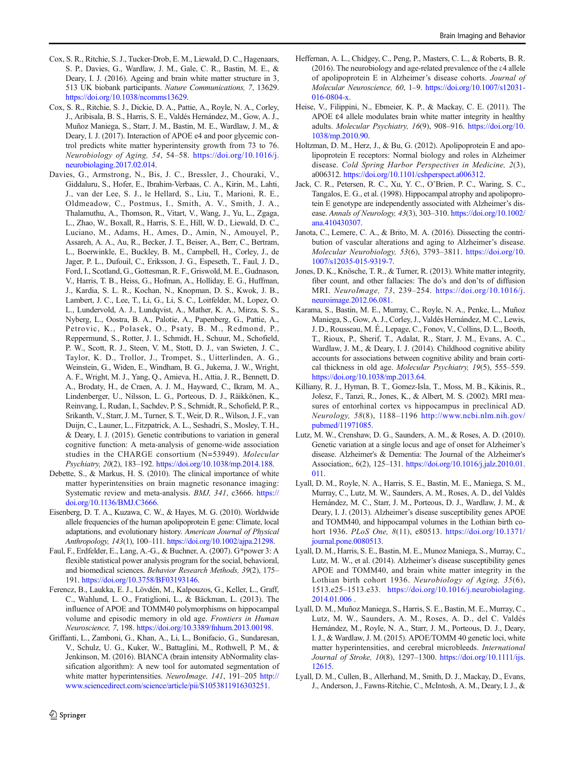- <span id="page-8-0"></span>Cox, S. R., Ritchie, S. J., Tucker-Drob, E. M., Liewald, D. C., Hagenaars, S. P., Davies, G., Wardlaw, J. M., Gale, C. R., Bastin, M. E., & Deary, I. J. (2016). Ageing and brain white matter structure in 3, 513 UK biobank participants. Nature Communications, 7, 13629. <https://doi.org/10.1038/ncomms13629>.
- Cox, S. R., Ritchie, S. J., Dickie, D. A., Pattie, A., Royle, N. A., Corley, J., Aribisala, B. S., Harris, S. E., Valdés Hernández, M., Gow, A. J., Muñoz Maniega, S., Starr, J. M., Bastin, M. E., Wardlaw, J. M., & Deary, I. J. (2017). Interaction of APOE e4 and poor glycemic control predicts white matter hyperintensity growth from 73 to 76. Neurobiology of Aging, 54, 54–58. [https://doi.org/10.1016/j.](https://doi.org/10.1016/j.neurobiolaging.2017.02.014) [neurobiolaging.2017.02.014.](https://doi.org/10.1016/j.neurobiolaging.2017.02.014)
- Davies, G., Armstrong, N., Bis, J. C., Bressler, J., Chouraki, V., Giddaluru, S., Hofer, E., Ibrahim-Verbaas, C. A., Kirin, M., Lahti, J., van der Lee, S. J., le Hellard, S., Liu, T., Marioni, R. E., Oldmeadow, C., Postmus, I., Smith, A. V., Smith, J. A., Thalamuthu, A., Thomson, R., Vitart, V., Wang, J., Yu, L., Zgaga, L., Zhao, W., Boxall, R., Harris, S. E., Hill, W. D., Liewald, D. C., Luciano, M., Adams, H., Ames, D., Amin, N., Amouyel, P., Assareh, A. A., Au, R., Becker, J. T., Beiser, A., Berr, C., Bertram, L., Boerwinkle, E., Buckley, B. M., Campbell, H., Corley, J., de Jager, P. L., Dufouil, C., Eriksson, J. G., Espeseth, T., Faul, J. D., Ford, I., Scotland, G., Gottesman, R. F., Griswold, M. E., Gudnason, V., Harris, T. B., Heiss, G., Hofman, A., Holliday, E. G., Huffman, J., Kardia, S. L. R., Kochan, N., Knopman, D. S., Kwok, J. B., Lambert, J. C., Lee, T., Li, G., Li, S. C., Loitfelder, M., Lopez, O. L., Lundervold, A. J., Lundqvist, A., Mather, K. A., Mirza, S. S., Nyberg, L., Oostra, B. A., Palotie, A., Papenberg, G., Pattie, A., Petrovic, K., Polasek, O., Psaty, B. M., Redmond, P., Reppermund, S., Rotter, J. I., Schmidt, H., Schuur, M., Schofield, P. W., Scott, R. J., Steen, V. M., Stott, D. J., van Swieten, J. C., Taylor, K. D., Trollor, J., Trompet, S., Uitterlinden, A. G., Weinstein, G., Widen, E., Windham, B. G., Jukema, J. W., Wright, A. F., Wright, M. J., Yang, Q., Amieva, H., Attia, J. R., Bennett, D. A., Brodaty, H., de Craen, A. J. M., Hayward, C., Ikram, M. A., Lindenberger, U., Nilsson, L. G., Porteous, D. J., Räikkönen, K., Reinvang, I., Rudan, I., Sachdev, P. S., Schmidt, R., Schofield, P. R., Srikanth, V., Starr, J. M., Turner, S. T., Weir, D. R., Wilson, J. F., van Duijn, C., Launer, L., Fitzpatrick, A. L., Seshadri, S., Mosley, T. H., & Deary, I. J. (2015). Genetic contributions to variation in general cognitive function: A meta-analysis of genome-wide association studies in the CHARGE consortium (N=53949). Molecular Psychiatry, 20(2), 183–192. <https://doi.org/10.1038/mp.2014.188>.
- Debette, S., & Markus, H. S. (2010). The clinical importance of white matter hyperintensities on brain magnetic resonance imaging: Systematic review and meta-analysis. BMJ, 341, c3666. [https://](https://doi.org/10.1136/BMJ.C3666) [doi.org/10.1136/BMJ.C3666](https://doi.org/10.1136/BMJ.C3666).
- Eisenberg, D. T. A., Kuzawa, C. W., & Hayes, M. G. (2010). Worldwide allele frequencies of the human apolipoprotein E gene: Climate, local adaptations, and evolutionary history. American Journal of Physical Anthropology, 143(1), 100–111. <https://doi.org/10.1002/ajpa.21298>.
- Faul, F., Erdfelder, E., Lang, A.-G., & Buchner, A. (2007). G\*power 3: A flexible statistical power analysis program for the social, behavioral, and biomedical sciences. Behavior Research Methods, 39(2), 175– 191. [https://doi.org/10.3758/BF03193146.](https://doi.org/10.3758/BF03193146)
- Ferencz, B., Laukka, E. J., Lövdén, M., Kalpouzos, G., Keller, L., Graff, C., Wahlund, L. O., Fratiglioni, L., & Bäckman, L. (2013). The influence of APOE and TOMM40 polymorphisms on hippocampal volume and episodic memory in old age. Frontiers in Human Neuroscience, 7, 198. <https://doi.org/10.3389/fnhum.2013.00198>.
- Griffanti, L., Zamboni, G., Khan, A., Li, L., Bonifacio, G., Sundaresan, V., Schulz, U. G., Kuker, W., Battaglini, M., Rothwell, P. M., & Jenkinson, M. (2016). BIANCA (brain intensity AbNormality classification algorithm): A new tool for automated segmentation of white matter hyperintensities. NeuroImage, 141, 191–205 [http://](http://www.sciencedirect.com/science/article/pii/S1053811916303251) [www.sciencedirect.com/science/article/pii/S1053811916303251.](http://www.sciencedirect.com/science/article/pii/S1053811916303251)
- Heffernan, A. L., Chidgey, C., Peng, P., Masters, C. L., & Roberts, B. R. (2016). The neurobiology and age-related prevalence of the  $\varepsilon$ 4 allele of apolipoprotein E in Alzheimer's disease cohorts. Journal of Molecular Neuroscience, 60, 1–9. [https://doi.org/10.1007/s12031-](https://doi.org/10.1007/s12031-016-0804-x) [016-0804-x](https://doi.org/10.1007/s12031-016-0804-x).
- Heise, V., Filippini, N., Ebmeier, K. P., & Mackay, C. E. (2011). The APOE  $\varepsilon$ 4 allele modulates brain white matter integrity in healthy adults. Molecular Psychiatry, 16(9), 908–916. [https://doi.org/10.](https://doi.org/10.1038/mp.2010.90) [1038/mp.2010.90](https://doi.org/10.1038/mp.2010.90).
- Holtzman, D. M., Herz, J., & Bu, G. (2012). Apolipoprotein E and apolipoprotein E receptors: Normal biology and roles in Alzheimer disease. Cold Spring Harbor Perspectives in Medicine, 2(3), a006312. [https://doi.org/10.1101/cshperspect.a006312.](https://doi.org/10.1101/cshperspect.a006312)
- Jack, C. R., Petersen, R. C., Xu, Y. C., O'Brien, P. C., Waring, S. C., Tangalos, E. G., et al. (1998). Hippocampal atrophy and apolipoprotein E genotype are independently associated with Alzheimer's disease. Annals of Neurology, 43(3), 303–310. [https://doi.org/10.1002/](https://doi.org/10.1002/ana.410430307) [ana.410430307.](https://doi.org/10.1002/ana.410430307)
- Janota, C., Lemere, C. A., & Brito, M. A. (2016). Dissecting the contribution of vascular alterations and aging to Alzheimer's disease. Molecular Neurobiology, 53(6), 3793–3811. [https://doi.org/10.](https://doi.org/10.1007/s12035-015-9319-7) [1007/s12035-015-9319-7.](https://doi.org/10.1007/s12035-015-9319-7)
- Jones, D. K., Knösche, T. R., & Turner, R. (2013). White matter integrity, fiber count, and other fallacies: The do's and don'ts of diffusion MRI. NeuroImage, 73, 239–254. [https://doi.org/10.1016/j.](https://doi.org/10.1016/j.neuroimage.2012.06.081) [neuroimage.2012.06.081.](https://doi.org/10.1016/j.neuroimage.2012.06.081)
- Karama, S., Bastin, M. E., Murray, C., Royle, N. A., Penke, L., Muñoz Maniega, S., Gow, A. J., Corley, J., Valdés Hernández, M. C., Lewis, J. D., Rousseau, M. É., Lepage, C., Fonov, V., Collins, D. L., Booth, T., Rioux, P., Sherif, T., Adalat, R., Starr, J. M., Evans, A. C., Wardlaw, J. M., & Deary, I. J. (2014). Childhood cognitive ability accounts for associations between cognitive ability and brain cortical thickness in old age. Molecular Psychiatry, 19(5), 555–559. <https://doi.org/10.1038/mp.2013.64>.
- Killiany, R. J., Hyman, B. T., Gomez-Isla, T., Moss, M. B., Kikinis, R., Jolesz, F., Tanzi, R., Jones, K., & Albert, M. S. (2002). MRI measures of entorhinal cortex vs hippocampus in preclinical AD. Neurology, 58(8), 1188–1196 [http://www.ncbi.nlm.nih.gov/](http://www.ncbi.nlm.nih.gov/pubmed/11971085) [pubmed/11971085.](http://www.ncbi.nlm.nih.gov/pubmed/11971085)
- Lutz, M. W., Crenshaw, D. G., Saunders, A. M., & Roses, A. D. (2010). Genetic variation at a single locus and age of onset for Alzheimer's disease. Alzheimer's & Dementia: The Journal of the Alzheimer's Association;, 6(2), 125–131. [https://doi.org/10.1016/j.jalz.2010.01.](https://doi.org/10.1016/j.jalz.2010.01.011) [011](https://doi.org/10.1016/j.jalz.2010.01.011).
- Lyall, D. M., Royle, N. A., Harris, S. E., Bastin, M. E., Maniega, S. M., Murray, C., Lutz, M. W., Saunders, A. M., Roses, A. D., del Valdés Hernández, M. C., Starr, J. M., Porteous, D. J., Wardlaw, J. M., & Deary, I. J. (2013). Alzheimer's disease susceptibility genes APOE and TOMM40, and hippocampal volumes in the Lothian birth cohort 1936. PLoS One, 8(11), e80513. [https://doi.org/10.1371/](https://doi.org/10.1371/journal.pone.0080513) [journal.pone.0080513](https://doi.org/10.1371/journal.pone.0080513).
- Lyall, D. M., Harris, S. E., Bastin, M. E., Munoz Maniega, S., Murray, C., Lutz, M. W., et al. (2014). Alzheimer's disease susceptibility genes APOE and TOMM40, and brain white matter integrity in the Lothian birth cohort 1936. Neurobiology of Aging, 35(6), 1513.e25–1513.e33. [https://doi.org/10.1016/j.neurobiolaging.](https://doi.org/10.1016/j.neurobiolaging.2014.01.006) [2014.01.006](https://doi.org/10.1016/j.neurobiolaging.2014.01.006) .
- Lyall, D. M., Muñoz Maniega, S., Harris, S. E., Bastin, M. E., Murray, C., Lutz, M. W., Saunders, A. M., Roses, A. D., del C. Valdés Hernández, M., Royle, N. A., Starr, J. M., Porteous, D. J., Deary, I. J., & Wardlaw, J. M. (2015). APOE/TOMM 40 genetic loci, white matter hyperintensities, and cerebral microbleeds. International Journal of Stroke, 10(8), 1297–1300. [https://doi.org/10.1111/ijs.](https://doi.org/10.1111/ijs.12615) [12615.](https://doi.org/10.1111/ijs.12615)
- Lyall, D. M., Cullen, B., Allerhand, M., Smith, D. J., Mackay, D., Evans, J., Anderson, J., Fawns-Ritchie, C., McIntosh, A. M., Deary, I. J., &